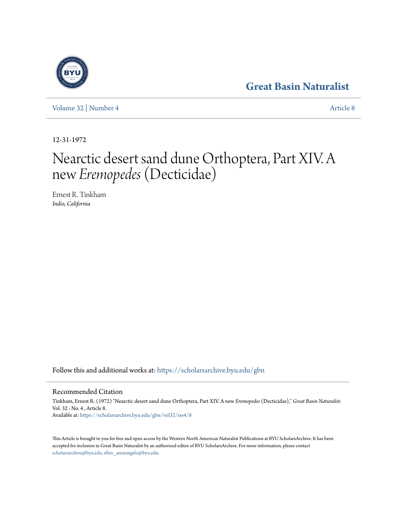## **[Great Basin Naturalist](https://scholarsarchive.byu.edu/gbn?utm_source=scholarsarchive.byu.edu%2Fgbn%2Fvol32%2Fiss4%2F8&utm_medium=PDF&utm_campaign=PDFCoverPages)**

[Volume 32](https://scholarsarchive.byu.edu/gbn/vol32?utm_source=scholarsarchive.byu.edu%2Fgbn%2Fvol32%2Fiss4%2F8&utm_medium=PDF&utm_campaign=PDFCoverPages) | [Number 4](https://scholarsarchive.byu.edu/gbn/vol32/iss4?utm_source=scholarsarchive.byu.edu%2Fgbn%2Fvol32%2Fiss4%2F8&utm_medium=PDF&utm_campaign=PDFCoverPages) [Article 8](https://scholarsarchive.byu.edu/gbn/vol32/iss4/8?utm_source=scholarsarchive.byu.edu%2Fgbn%2Fvol32%2Fiss4%2F8&utm_medium=PDF&utm_campaign=PDFCoverPages)

12-31-1972

# Nearctic desert sand dune Orthoptera, Part XIV. A new *Eremopedes*(Decticidae)

Ernest R. Tinkham *Indio, California*

Follow this and additional works at: [https://scholarsarchive.byu.edu/gbn](https://scholarsarchive.byu.edu/gbn?utm_source=scholarsarchive.byu.edu%2Fgbn%2Fvol32%2Fiss4%2F8&utm_medium=PDF&utm_campaign=PDFCoverPages)

Recommended Citation

Tinkham, Ernest R. (1972) "Nearctic desert sand dune Orthoptera, Part XIV. A new *Eremopedes* (Decticidae)," *Great Basin Naturalist*: Vol. 32 : No. 4 , Article 8. Available at: [https://scholarsarchive.byu.edu/gbn/vol32/iss4/8](https://scholarsarchive.byu.edu/gbn/vol32/iss4/8?utm_source=scholarsarchive.byu.edu%2Fgbn%2Fvol32%2Fiss4%2F8&utm_medium=PDF&utm_campaign=PDFCoverPages)

This Article is brought to you for free and open access by the Western North American Naturalist Publications at BYU ScholarsArchive. It has been accepted for inclusion in Great Basin Naturalist by an authorized editor of BYU ScholarsArchive. For more information, please contact [scholarsarchive@byu.edu, ellen\\_amatangelo@byu.edu.](mailto:scholarsarchive@byu.edu,%20ellen_amatangelo@byu.edu)

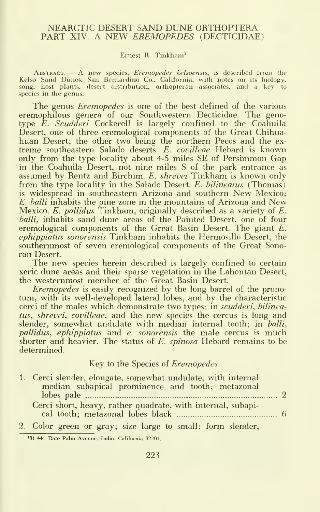#### NEARCTIC DESERT SAND DUNE ORTHOPTERA PART XIV. A NEW EREMOPEDES (DECTICIDAE)

#### Ernest R. Tinkham'

ABSTRACT. A new species, Eremopedes kelsoensis, is described from the Kelso Sand Dunes. San Bernardino Co., California, with notes on its biology, song, host plants, desert distribution, orthopteran associates, and a key to species in the genus.

The genus *Eremopedes* is one of the best defined of the various eremophilous genera of our Southwestern Decticidae. The geno-<br>type *E. Scudderi* Cockerell is largely confined to the Coahuila Desert, one of three eremological components of the Great Chihua huan Desert; the other two being the northern Pecos and the ex treme southeastern Salado deserts. E. covilleae Hebard is known only from the type locality about 4-5 miles SE of Persimmon Gap in the Coahuila Desert, not nine miles S of the park entrance as assumed by Rentz and Birchim. E. shrevei Tinkham is known only from the type locality in the Salado Desert. E. bilineatus (Thomas) is widespread in southeastern Arizona and southern New Mexico; E. halli inhabits the pine zone in the mountains of Arizona and New Mexico.  $E$ . pallidus Tinkham, originally described as a variety of  $E$ . balli, inhabits sand dune areas of the Painted Desert, one of four eremological components of the Great Basin Desert. The giant E. ephippiatus sonorensis Tinkham inhabits the Hermosillo Desert, the southernmost of seven eremological components of the Great Sono ran Desert.

The new species herein described is largely confined to certain xeric dune areas and their sparse vegetation in the Lahontan Desert, the westernmost member of the Great Basin Desert.

Eremopedes is easily recognized by the long barrel of the prono tum, with its well-developed lateral lobes, and by the characteristic cerci of the males which demonstrate two types: in scudderi, bilineatus, shrevei, covilleae, and the new species the cercus is long and slender, somewhat undulate with median internal tooth; in balli, pallidus, ephippiatus and e. sonorensis the male cercus is much shorter and heavier. The status of  $E$ , spinosa Hebard remains to be determined.

#### Key to the Species of Eremopedes

| 1. Cerci slender, elongate, somewhat undulate, with internal |  |
|--------------------------------------------------------------|--|
| median subapical prominence and tooth; metazonal             |  |
|                                                              |  |
| Cerci short, heavy, rather quadrate, with internal, subapi-  |  |
|                                                              |  |
|                                                              |  |

2. Color green or gray; size large to small; form slender.

<sup>+41</sup> Date Palm Avenue, Indio, California 92201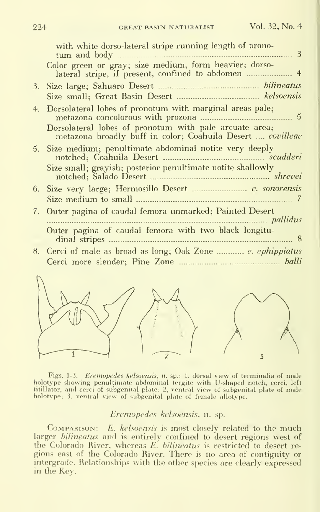| with white dorso-lateral stripe running length of prono-<br>3<br>tum and body                                        |
|----------------------------------------------------------------------------------------------------------------------|
| Color green or gray; size medium, form heavier; dorso-                                                               |
|                                                                                                                      |
|                                                                                                                      |
| 4. Dorsolateral lobes of pronotum with marginal areas pale;                                                          |
| Dorsolateral lobes of pronotum with pale arcuate area;<br>metazona broadly buff in color; Coahuila Desert  covilleae |
| 5. Size medium; penultimate abdominal notite very deeply                                                             |
| Size small; grayish; posterior penultimate notite shallowly                                                          |
|                                                                                                                      |
|                                                                                                                      |
| 7. Outer pagina of caudal femora unmarked; Painted Desert<br>pallidus                                                |
| Outer pagina of caudal femora with two black longitu-<br>dinal stripes                                               |
|                                                                                                                      |
|                                                                                                                      |
|                                                                                                                      |



Figs. 1-3. *Eremopedes kelsoensis*, n. sp.: 1, dorsal view of terminalia of male<br>holotype showing penultimate abdominal tergite with U-shaped notch, cerci, left<br>titillator, and cerci of subgenital plate; 2, ventral view of

### Eremopedes kelsoensis. n. sp.

COMPARISON: E. kelsoensis is most closely related to the much larger bilineatus and is entirely confined to desert regions west of the Colorado River, whereas  $E$ . *bilineatus* is restricted to desert regions east of the Colorado River. There is no area of contiguity or intergrade. Relationships with the other species are clearly expressed in the Key.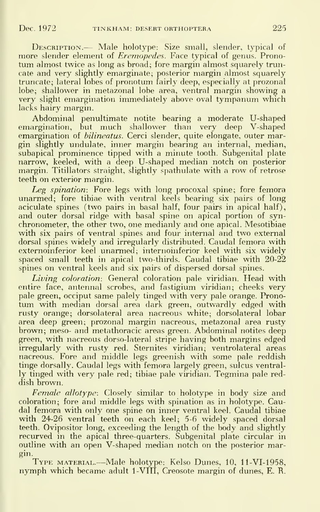DESCRIPTION. -- Male holotype: Size small, slender, typical of more slender element of *Eremopedes*. Face typical of genus. Pronotum almost twice as long as broad; fore margin almost squarely truncate and very slightly emarginate; posterior margin almost squarely truncate; lateral lobes of pronotum fairly deep, especially at prozonal lobe; shallower in metazonal lobe area, ventral margin showing a very slight emargination immediately above oval tympanum which lacks hairy margin.

Abdominal penultimate notite bearing a moderate U-shaped emargination, but much shallower than very deep V-shaped emargination of *bilineatus*. Cerci slender, quite elongate, outer margin slightly undulate, inner margin bearing an internal, median, subapical prominence tipped with a minute tooth. Subgenital plate narrow, keeled, with a deep U-shaped median notch on posterior margin. Titillators straight, slightly spathulate with a row of retrose teeth on exterior margin.

Leg spination: Fore legs with long procoxal spine; fore femora unarmed; fore tibiae with ventral keels bearing six pairs of long aciculate spines (two pairs in basal half, four pairs in apical half), and outer dorsal ridge with basal spine on apical portion of syn chronometer, the other two, one medianly and one apical. Mesotibiae with six pairs of ventral spines and four internal and two external dorsal spines widely and irregularly distributed. Caudal femora with externoinferior keel unarmed; internoinferior keel with six widely spaced small teeth in apical two-thirds. Caudal tibiae with 20-22 spines on ventral keels and six pairs of dispersed dorsal spines.

Living coloration: General coloration pale viridian. Head with entire face, antennal scrobes, and fastigium viridian; cheeks very pale green, occiput same palely tinged with very pale orange. Prono tum with median dorsal area dark green, outwardly edged with rusty orange; dorsolateral area nacreous white; dorsolateral lobar area deep green; prozonal margin nacreous, metazonal area rusty brown; meso- and metathoracic areas green. Abdominal notites deep green, with nacreous dorso-lateral stripe having both margins edged irregularly with rusty red. Sternites viridian; ventrolateral areas nacreous. Fore and middle legs greenish with some pale reddish tinge dorsally. Caudal legs with femora largely green, sulcus ventrally tinged with very pale red; tibiae pale viridian. Tegmina pale red dish brown.

 $Female$   $allotype$ : Closely similar to holotype in body size and coloration; fore and middle legs with spination as in holotype. Caudal femora with only one spine on inner ventral keel. Caudal tibiae with 24-26 ventral teeth on each keel; 5-6 widely spaced dorsal teeth. Ovipositor long, exceeding the length of the body and slightly recurved in the apical three-quarters. Subgenital plate circular in outline with an open V-shaped median notch on the posterior margin.

TYPE MATERIAL.—Male holotype: Kelso Dunes, 10, 11-VI-1958, nymph which became adult 1-VIII, Creosote margin of dunes, E. R.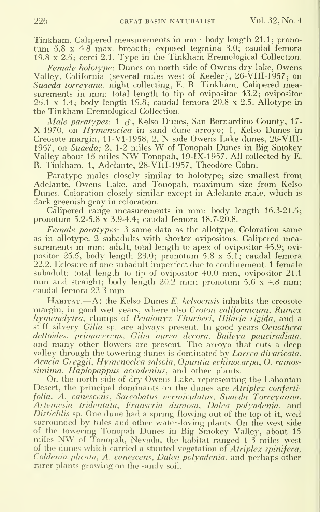Tinkham. Calipered measurements in mm: body length 21.1; prono tum 5.8 X 4.8 max. breadth; exposed tegmina 3.0; caudal femora 19.8 X 2.5; cerci 2.1. Type in the Tinkham Eremological Collection.

Female holotype: Dunes on north side of Owens dry lake, Owens Valley, California (several miles west of Keeler), 26-VIII-1957; on Suaeda torreyana, night collecting, E. R. Tinkham. Calipered measurements in mm: total length to tip of ovipositor 43.2; ovipositor  $25.1 \times 1.4$ ; body length 19.8; caudal femora  $20.8 \times 2.5$ . Allotype in the Tinkham Eremological Collection.

Male paratypes:  $1 \text{ } \sigma$ , Kelso Dunes, San Bernardino County, 17-X-1970, on Hymenoclea in sand dune arroyo; 1, Kelso Dunes in Creosote margin, 11-VI-1958, 2, N side Owens Lake dunes, 26-VIII-1957, on Suaeda; 2, 1-2 miles W of Tonopah Dunes in Big Smokey Valley about <sup>15</sup> miles NW Tonopah, 19-IX-1957. All collected by E. R. Tinkham. 1, Adelante, 28-VIII-1957, Theodore Cohn.

Paratype males closely similar to holotype; size smallest from Adelante, Owens Lake, and Tonopah, maximum size from Kelso Dunes. Coloration closely similar except in Adelante male, which is dark greenish gray in coloration.

Calipered range measurements in mm: body length 16.3-21.5; pronotum 5.2-5.8 x 3.9-4.4; caudal femora 18.7-20.8.

 $Female$  paratypes: 3 same data as the allotype. Coloration same as in allotype. 2 subadults with shorter ovipositors. Calipered measurements in mm: adult, total length to apex of ovipositor 45.9; ovi positor 25.5, body length 23.0; pronotum 5.8 x 5.1; caudal femora 22.2. Eclosure of one subadult imperfect due to confinement. <sup>1</sup> female subadult: total length to tip of ovipositor 40.0 mm; ovipositor 21.1 mm and straight; body length 20.2 mm; pronotum 5.6 x 4.8 mm; caudal femora 22.3 mm.

Habitat.—At the Kelso Dunes E. kelsoensis inhabits the creosote margin, in good wet years, where also Croton californicum. Rumex hymenelytra, clumps of Petalonyx Thurberi, Ililaria rigida, and a stiff silvery Gilia sp. are always present. In good years Oenothera deltoides, primaverens, Gilia aurea decora, Baileya pauciradiata. and many other flowers are present. The arroyo that cuts <sup>a</sup> deep valley through the towering dunes is dominated by Larrea divaricata. Acacia Greggii, Hymenoclea salsola, Opuntia echinocarpa. O. ramos simima, Haplopappus acradenius, and other plants.<br>On the north side of dry Owens Lake, representing the Lahontan

Desert, the principal dominants on the dunes are *Atriplex conferti*folia, A. canescens. Sarcohatus vermiculatus, Suaeda Torreyanna. Artemesia tridentata, Franseria dumosa, Dalea polyadenia, and Distichlis sp. One dune had a spring flowing out of the top of it, well surrounded by tules and other water-loving plants. On the west side of the towering Tonopah Dunes in Big Smokey Valley, about 15 miles NW of Tonopah, Nevada, the habitat ranged 1-3 miles west of the dunes which carried a stunted vegetation of Atriplex spinifera, Coldenia plicata, A. canescens, Dalea polyadenia, and perhaps other rarer plants growing on the sandy soil.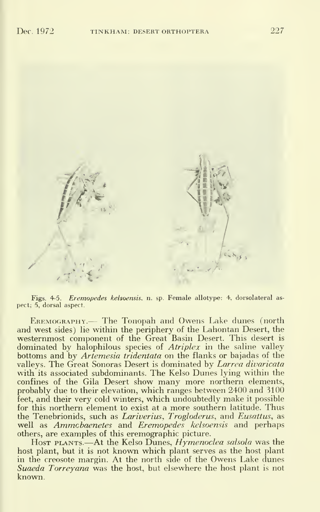/'

Figs. 4-5. Eremopedes kelsoensis. n. sp. Female allotype: 4. dorsolateral as pect; 5, dorsal aspect.

EREMOGRAPHY.— The Tonopah and Owens Lake dunes (north and west sides) lie within the periphery of the Lahontan Desert, the westernmost component of the Great Basin Desert. This desert is dominated by halophilous species of *Atriplex* in the saline valley bottoms and by Artemesia tridentata on the flanks or bajadas of the valleys. The Great Sonoras Desert is dominated by Larrea divaricata with its associated subdominants. The Kelso Dunes lying within the confines of the Gila Desert show many more northern elements, probably due to their elevation, which ranges between 2400 and 3100 feet, and their very cold winters, which undoubtedly make it possible for this northern element to exist at a more southern latitude. Thus the Tenebrionids, such as Lariverius, Trogloderus, and Eusattus, as well as Ammcbaenetes and Eremopedes kelsoensis and perhaps others, are examples of this eremographic picture.

Host plants.—At the Kelso Dunes, *Hymenoclea salsola* was the host plant, but it is not known which plant serves as the host plant in the creosote margin. At the north side of the Owens Lake dunes Suaeda Torreyana was the host, but elsewhere the host plant is not known.